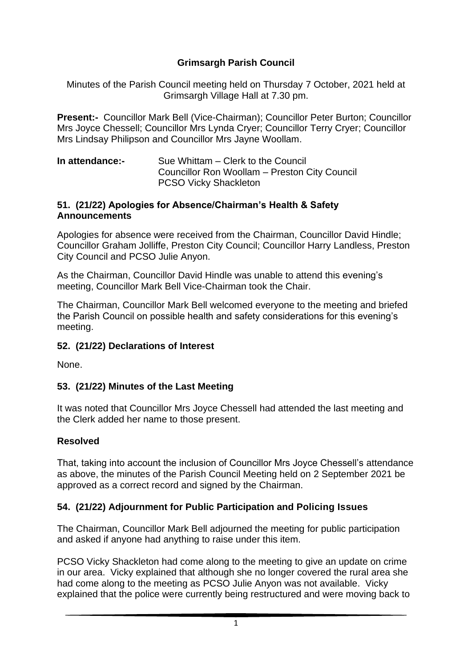## **Grimsargh Parish Council**

Minutes of the Parish Council meeting held on Thursday 7 October, 2021 held at Grimsargh Village Hall at 7.30 pm.

**Present:-** Councillor Mark Bell (Vice-Chairman); Councillor Peter Burton; Councillor Mrs Joyce Chessell; Councillor Mrs Lynda Cryer; Councillor Terry Cryer; Councillor Mrs Lindsay Philipson and Councillor Mrs Jayne Woollam.

**In attendance:-** Sue Whittam – Clerk to the Council Councillor Ron Woollam – Preston City Council PCSO Vicky Shackleton

#### **51. (21/22) Apologies for Absence/Chairman's Health & Safety Announcements**

Apologies for absence were received from the Chairman, Councillor David Hindle; Councillor Graham Jolliffe, Preston City Council; Councillor Harry Landless, Preston City Council and PCSO Julie Anyon.

As the Chairman, Councillor David Hindle was unable to attend this evening's meeting, Councillor Mark Bell Vice-Chairman took the Chair.

The Chairman, Councillor Mark Bell welcomed everyone to the meeting and briefed the Parish Council on possible health and safety considerations for this evening's meeting.

#### **52. (21/22) Declarations of Interest**

None.

#### **53. (21/22) Minutes of the Last Meeting**

It was noted that Councillor Mrs Joyce Chessell had attended the last meeting and the Clerk added her name to those present.

#### **Resolved**

That, taking into account the inclusion of Councillor Mrs Joyce Chessell's attendance as above, the minutes of the Parish Council Meeting held on 2 September 2021 be approved as a correct record and signed by the Chairman.

#### **54. (21/22) Adjournment for Public Participation and Policing Issues**

The Chairman, Councillor Mark Bell adjourned the meeting for public participation and asked if anyone had anything to raise under this item.

PCSO Vicky Shackleton had come along to the meeting to give an update on crime in our area. Vicky explained that although she no longer covered the rural area she had come along to the meeting as PCSO Julie Anyon was not available. Vicky explained that the police were currently being restructured and were moving back to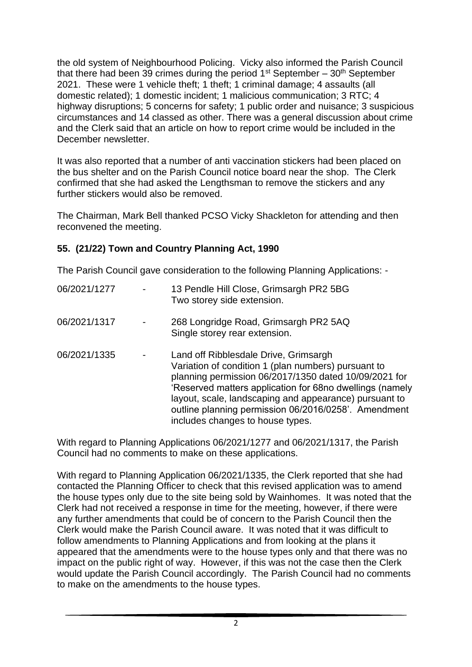the old system of Neighbourhood Policing. Vicky also informed the Parish Council that there had been 39 crimes during the period  $1<sup>st</sup>$  September – 30<sup>th</sup> September 2021. These were 1 vehicle theft; 1 theft; 1 criminal damage; 4 assaults (all domestic related); 1 domestic incident; 1 malicious communication; 3 RTC; 4 highway disruptions; 5 concerns for safety; 1 public order and nuisance; 3 suspicious circumstances and 14 classed as other. There was a general discussion about crime and the Clerk said that an article on how to report crime would be included in the December newsletter.

It was also reported that a number of anti vaccination stickers had been placed on the bus shelter and on the Parish Council notice board near the shop. The Clerk confirmed that she had asked the Lengthsman to remove the stickers and any further stickers would also be removed.

The Chairman, Mark Bell thanked PCSO Vicky Shackleton for attending and then reconvened the meeting.

#### **55. (21/22) Town and Country Planning Act, 1990**

The Parish Council gave consideration to the following Planning Applications: -

| 06/2021/1277 |                          | 13 Pendle Hill Close, Grimsargh PR2 5BG<br>Two storey side extension.                                                                                                                                                                                                                                                                                                   |
|--------------|--------------------------|-------------------------------------------------------------------------------------------------------------------------------------------------------------------------------------------------------------------------------------------------------------------------------------------------------------------------------------------------------------------------|
| 06/2021/1317 |                          | 268 Longridge Road, Grimsargh PR2 5AQ<br>Single storey rear extension.                                                                                                                                                                                                                                                                                                  |
| 06/2021/1335 | $\overline{\phantom{0}}$ | Land off Ribblesdale Drive, Grimsargh<br>Variation of condition 1 (plan numbers) pursuant to<br>planning permission 06/2017/1350 dated 10/09/2021 for<br>'Reserved matters application for 68no dwellings (namely<br>layout, scale, landscaping and appearance) pursuant to<br>outline planning permission 06/2016/0258'. Amendment<br>includes changes to house types. |

With regard to Planning Applications 06/2021/1277 and 06/2021/1317, the Parish Council had no comments to make on these applications.

With regard to Planning Application 06/2021/1335, the Clerk reported that she had contacted the Planning Officer to check that this revised application was to amend the house types only due to the site being sold by Wainhomes. It was noted that the Clerk had not received a response in time for the meeting, however, if there were any further amendments that could be of concern to the Parish Council then the Clerk would make the Parish Council aware. It was noted that it was difficult to follow amendments to Planning Applications and from looking at the plans it appeared that the amendments were to the house types only and that there was no impact on the public right of way. However, if this was not the case then the Clerk would update the Parish Council accordingly. The Parish Council had no comments to make on the amendments to the house types.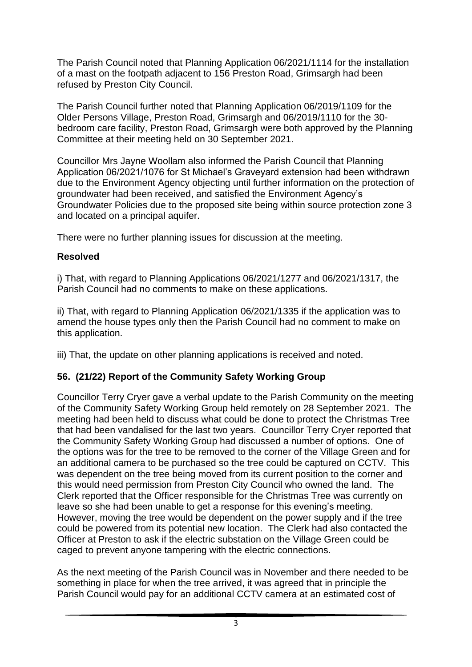The Parish Council noted that Planning Application 06/2021/1114 for the installation of a mast on the footpath adjacent to 156 Preston Road, Grimsargh had been refused by Preston City Council.

The Parish Council further noted that Planning Application 06/2019/1109 for the Older Persons Village, Preston Road, Grimsargh and 06/2019/1110 for the 30 bedroom care facility, Preston Road, Grimsargh were both approved by the Planning Committee at their meeting held on 30 September 2021.

Councillor Mrs Jayne Woollam also informed the Parish Council that Planning Application 06/2021/1076 for St Michael's Graveyard extension had been withdrawn due to the Environment Agency objecting until further information on the protection of groundwater had been received, and satisfied the Environment Agency's Groundwater Policies due to the proposed site being within source protection zone 3 and located on a principal aquifer.

There were no further planning issues for discussion at the meeting.

# **Resolved**

i) That, with regard to Planning Applications 06/2021/1277 and 06/2021/1317, the Parish Council had no comments to make on these applications.

ii) That, with regard to Planning Application 06/2021/1335 if the application was to amend the house types only then the Parish Council had no comment to make on this application.

iii) That, the update on other planning applications is received and noted.

# **56. (21/22) Report of the Community Safety Working Group**

Councillor Terry Cryer gave a verbal update to the Parish Community on the meeting of the Community Safety Working Group held remotely on 28 September 2021. The meeting had been held to discuss what could be done to protect the Christmas Tree that had been vandalised for the last two years. Councillor Terry Cryer reported that the Community Safety Working Group had discussed a number of options. One of the options was for the tree to be removed to the corner of the Village Green and for an additional camera to be purchased so the tree could be captured on CCTV. This was dependent on the tree being moved from its current position to the corner and this would need permission from Preston City Council who owned the land. The Clerk reported that the Officer responsible for the Christmas Tree was currently on leave so she had been unable to get a response for this evening's meeting. However, moving the tree would be dependent on the power supply and if the tree could be powered from its potential new location. The Clerk had also contacted the Officer at Preston to ask if the electric substation on the Village Green could be caged to prevent anyone tampering with the electric connections.

As the next meeting of the Parish Council was in November and there needed to be something in place for when the tree arrived, it was agreed that in principle the Parish Council would pay for an additional CCTV camera at an estimated cost of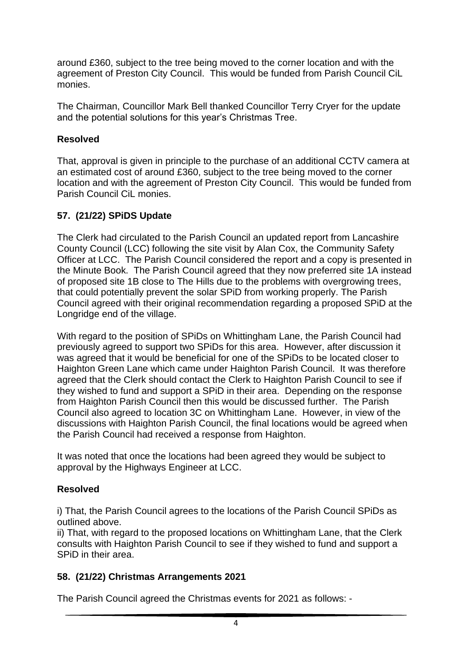around £360, subject to the tree being moved to the corner location and with the agreement of Preston City Council. This would be funded from Parish Council CiL monies.

The Chairman, Councillor Mark Bell thanked Councillor Terry Cryer for the update and the potential solutions for this year's Christmas Tree.

#### **Resolved**

That, approval is given in principle to the purchase of an additional CCTV camera at an estimated cost of around £360, subject to the tree being moved to the corner location and with the agreement of Preston City Council. This would be funded from Parish Council CiL monies.

### **57. (21/22) SPiDS Update**

The Clerk had circulated to the Parish Council an updated report from Lancashire County Council (LCC) following the site visit by Alan Cox, the Community Safety Officer at LCC. The Parish Council considered the report and a copy is presented in the Minute Book. The Parish Council agreed that they now preferred site 1A instead of proposed site 1B close to The Hills due to the problems with overgrowing trees, that could potentially prevent the solar SPiD from working properly. The Parish Council agreed with their original recommendation regarding a proposed SPiD at the Longridge end of the village.

With regard to the position of SPiDs on Whittingham Lane, the Parish Council had previously agreed to support two SPiDs for this area. However, after discussion it was agreed that it would be beneficial for one of the SPiDs to be located closer to Haighton Green Lane which came under Haighton Parish Council. It was therefore agreed that the Clerk should contact the Clerk to Haighton Parish Council to see if they wished to fund and support a SPiD in their area. Depending on the response from Haighton Parish Council then this would be discussed further. The Parish Council also agreed to location 3C on Whittingham Lane. However, in view of the discussions with Haighton Parish Council, the final locations would be agreed when the Parish Council had received a response from Haighton.

It was noted that once the locations had been agreed they would be subject to approval by the Highways Engineer at LCC.

## **Resolved**

i) That, the Parish Council agrees to the locations of the Parish Council SPiDs as outlined above.

ii) That, with regard to the proposed locations on Whittingham Lane, that the Clerk consults with Haighton Parish Council to see if they wished to fund and support a SPiD in their area.

#### **58. (21/22) Christmas Arrangements 2021**

The Parish Council agreed the Christmas events for 2021 as follows: -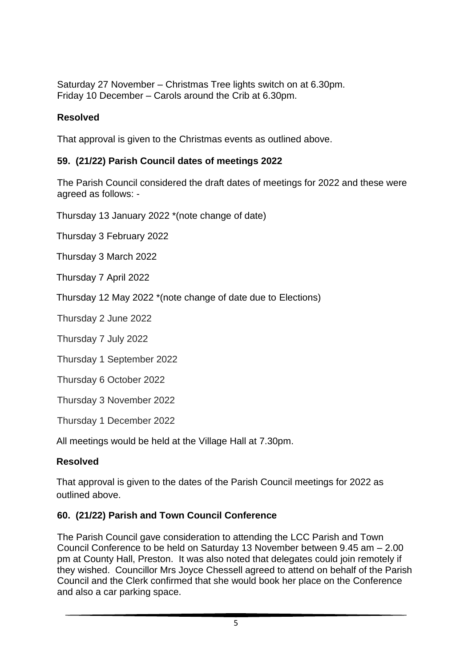Saturday 27 November – Christmas Tree lights switch on at 6.30pm. Friday 10 December – Carols around the Crib at 6.30pm.

#### **Resolved**

That approval is given to the Christmas events as outlined above.

#### **59. (21/22) Parish Council dates of meetings 2022**

The Parish Council considered the draft dates of meetings for 2022 and these were agreed as follows: -

Thursday 13 January 2022 \*(note change of date)

Thursday 3 February 2022

Thursday 3 March 2022

Thursday 7 April 2022

Thursday 12 May 2022 \*(note change of date due to Elections)

Thursday 2 June 2022

Thursday 7 July 2022

Thursday 1 September 2022

Thursday 6 October 2022

Thursday 3 November 2022

Thursday 1 December 2022

All meetings would be held at the Village Hall at 7.30pm.

#### **Resolved**

That approval is given to the dates of the Parish Council meetings for 2022 as outlined above.

#### **60. (21/22) Parish and Town Council Conference**

The Parish Council gave consideration to attending the LCC Parish and Town Council Conference to be held on Saturday 13 November between 9.45 am – 2.00 pm at County Hall, Preston. It was also noted that delegates could join remotely if they wished. Councillor Mrs Joyce Chessell agreed to attend on behalf of the Parish Council and the Clerk confirmed that she would book her place on the Conference and also a car parking space.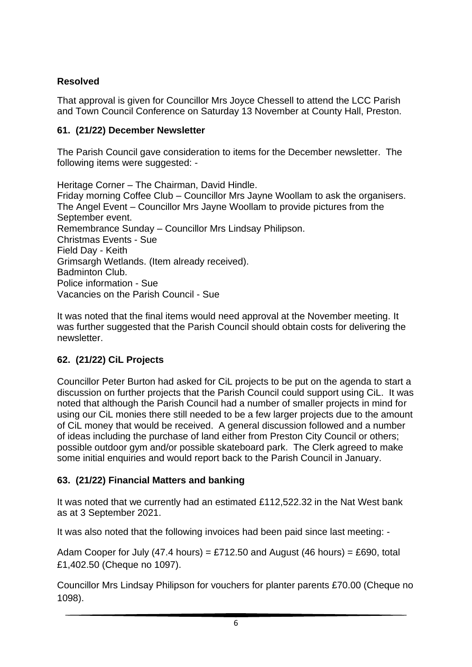# **Resolved**

That approval is given for Councillor Mrs Joyce Chessell to attend the LCC Parish and Town Council Conference on Saturday 13 November at County Hall, Preston.

# **61. (21/22) December Newsletter**

The Parish Council gave consideration to items for the December newsletter. The following items were suggested: -

Heritage Corner – The Chairman, David Hindle. Friday morning Coffee Club – Councillor Mrs Jayne Woollam to ask the organisers. The Angel Event – Councillor Mrs Jayne Woollam to provide pictures from the September event. Remembrance Sunday – Councillor Mrs Lindsay Philipson. Christmas Events - Sue Field Day - Keith Grimsargh Wetlands. (Item already received). Badminton Club. Police information - Sue Vacancies on the Parish Council - Sue

It was noted that the final items would need approval at the November meeting. It was further suggested that the Parish Council should obtain costs for delivering the newsletter.

# **62. (21/22) CiL Projects**

Councillor Peter Burton had asked for CiL projects to be put on the agenda to start a discussion on further projects that the Parish Council could support using CiL. It was noted that although the Parish Council had a number of smaller projects in mind for using our CiL monies there still needed to be a few larger projects due to the amount of CiL money that would be received. A general discussion followed and a number of ideas including the purchase of land either from Preston City Council or others; possible outdoor gym and/or possible skateboard park. The Clerk agreed to make some initial enquiries and would report back to the Parish Council in January.

# **63. (21/22) Financial Matters and banking**

It was noted that we currently had an estimated £112,522.32 in the Nat West bank as at 3 September 2021.

It was also noted that the following invoices had been paid since last meeting: -

Adam Cooper for July (47.4 hours) = £712.50 and August (46 hours) = £690, total £1,402.50 (Cheque no 1097).

Councillor Mrs Lindsay Philipson for vouchers for planter parents £70.00 (Cheque no 1098).